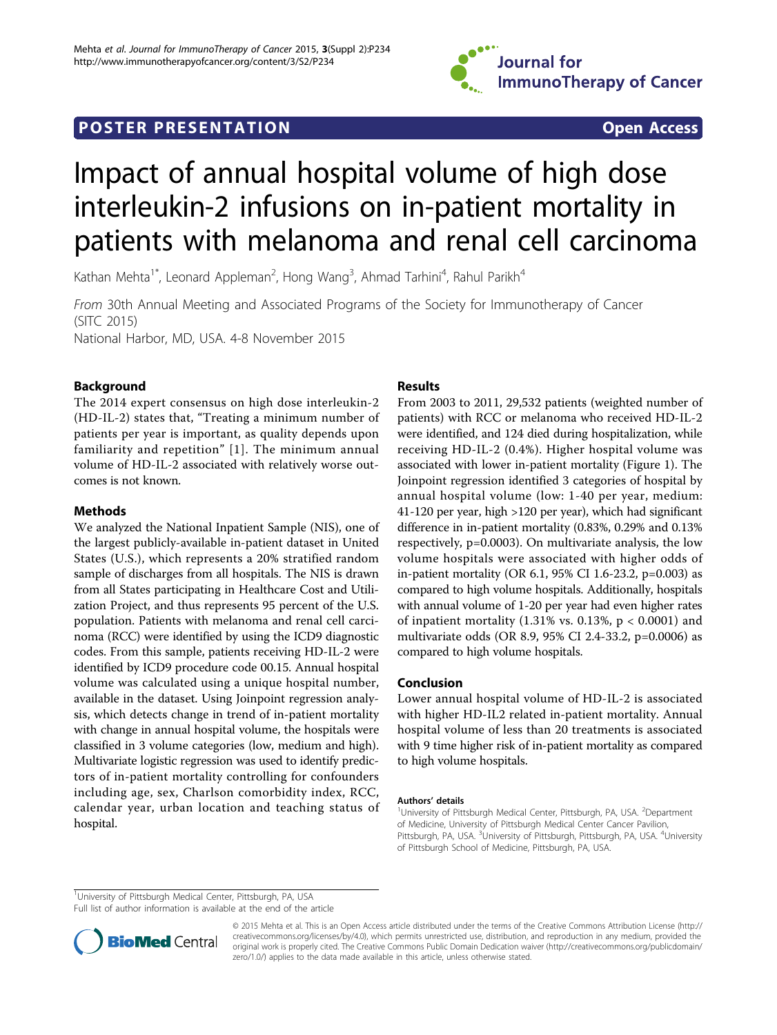

## POSTER PRESENTATION **Open Access**

# Impact of annual hospital volume of high dose interleukin-2 infusions on in-patient mortality in patients with melanoma and renal cell carcinoma

Kathan Mehta<sup>1\*</sup>, Leonard Appleman<sup>2</sup>, Hong Wang<sup>3</sup>, Ahmad Tarhini<sup>4</sup>, Rahul Parikh<sup>4</sup>

From 30th Annual Meeting and Associated Programs of the Society for Immunotherapy of Cancer (SITC 2015) National Harbor, MD, USA. 4-8 November 2015

### Background

The 2014 expert consensus on high dose interleukin-2 (HD-IL-2) states that, "Treating a minimum number of patients per year is important, as quality depends upon familiarity and repetition" [1]. The minimum annual volume of HD-IL-2 associated with relatively worse outcomes is not known.

#### Methods

We analyzed the National Inpatient Sample (NIS), one of the largest publicly-available in-patient dataset in United States (U.S.), which represents a 20% stratified random sample of discharges from all hospitals. The NIS is drawn from all States participating in Healthcare Cost and Utilization Project, and thus represents 95 percent of the U.S. population. Patients with melanoma and renal cell carcinoma (RCC) were identified by using the ICD9 diagnostic codes. From this sample, patients receiving HD-IL-2 were identified by ICD9 procedure code 00.15. Annual hospital volume was calculated using a unique hospital number, available in the dataset. Using Joinpoint regression analysis, which detects change in trend of in-patient mortality with change in annual hospital volume, the hospitals were classified in 3 volume categories (low, medium and high). Multivariate logistic regression was used to identify predictors of in-patient mortality controlling for confounders including age, sex, Charlson comorbidity index, RCC, calendar year, urban location and teaching status of hospital.

#### Results

From 2003 to 2011, 29,532 patients (weighted number of patients) with RCC or melanoma who received HD-IL-2 were identified, and 124 died during hospitalization, while receiving HD-IL-2 (0.4%). Higher hospital volume was associated with lower in-patient mortality (Figure [1](#page-1-0)). The Joinpoint regression identified 3 categories of hospital by annual hospital volume (low: 1-40 per year, medium: 41-120 per year, high >120 per year), which had significant difference in in-patient mortality (0.83%, 0.29% and 0.13% respectively, p=0.0003). On multivariate analysis, the low volume hospitals were associated with higher odds of in-patient mortality (OR 6.1, 95% CI 1.6-23.2, p=0.003) as compared to high volume hospitals. Additionally, hospitals with annual volume of 1-20 per year had even higher rates of inpatient mortality  $(1.31\% \text{ vs. } 0.13\%, \text{ p} < 0.0001)$  and multivariate odds (OR 8.9, 95% CI 2.4-33.2, p=0.0006) as compared to high volume hospitals.

#### Conclusion

Lower annual hospital volume of HD-IL-2 is associated with higher HD-IL2 related in-patient mortality. Annual hospital volume of less than 20 treatments is associated with 9 time higher risk of in-patient mortality as compared to high volume hospitals.

#### Authors' details <sup>1</sup>

University of Pittsburgh Medical Center, Pittsburgh, PA, USA. <sup>2</sup>Department of Medicine, University of Pittsburgh Medical Center Cancer Pavilion, Pittsburgh, PA, USA. <sup>3</sup>University of Pittsburgh, Pittsburgh, PA, USA. <sup>4</sup>University of Pittsburgh School of Medicine, Pittsburgh, PA, USA.

<sup>1</sup>University of Pittsburgh Medical Center, Pittsburgh, PA, USA

Full list of author information is available at the end of the article



© 2015 Mehta et al. This is an Open Access article distributed under the terms of the Creative Commons Attribution License [\(http://](http://creativecommons.org/licenses/by/4.0) [creativecommons.org/licenses/by/4.0](http://creativecommons.org/licenses/by/4.0)), which permits unrestricted use, distribution, and reproduction in any medium, provided the original work is properly cited. The Creative Commons Public Domain Dedication waiver ([http://creativecommons.org/publicdomain/](http://creativecommons.org/publicdomain/zero/1.0/) [zero/1.0/](http://creativecommons.org/publicdomain/zero/1.0/)) applies to the data made available in this article, unless otherwise stated.